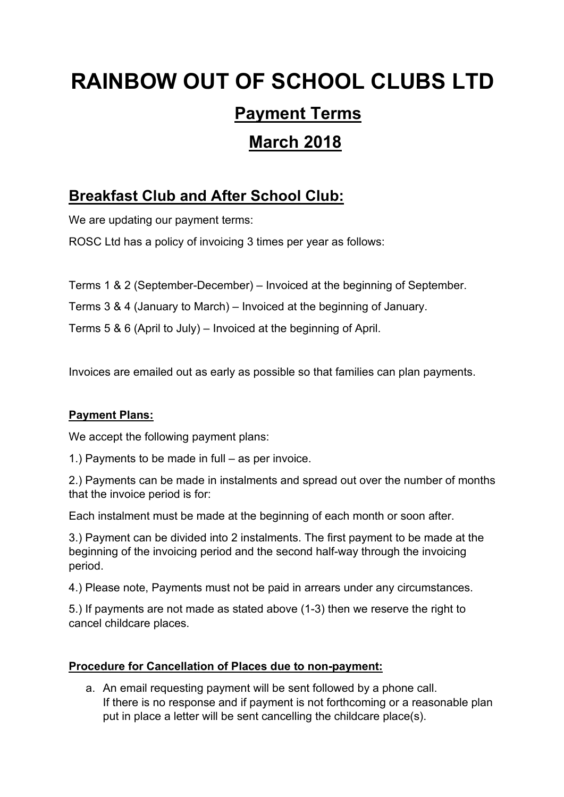# **RAINBOW OUT OF SCHOOL CLUBS LTD**

# **Payment Terms**

# **March 2018**

## **Breakfast Club and After School Club:**

We are updating our payment terms:

ROSC Ltd has a policy of invoicing 3 times per year as follows:

Terms 1 & 2 (September-December) – Invoiced at the beginning of September.

Terms 3 & 4 (January to March) – Invoiced at the beginning of January.

Terms 5 & 6 (April to July) – Invoiced at the beginning of April.

Invoices are emailed out as early as possible so that families can plan payments.

### **Payment Plans:**

We accept the following payment plans:

1.) Payments to be made in full – as per invoice.

2.) Payments can be made in instalments and spread out over the number of months that the invoice period is for:

Each instalment must be made at the beginning of each month or soon after.

3.) Payment can be divided into 2 instalments. The first payment to be made at the beginning of the invoicing period and the second half-way through the invoicing period.

4.) Please note, Payments must not be paid in arrears under any circumstances.

5.) If payments are not made as stated above (1-3) then we reserve the right to cancel childcare places.

### **Procedure for Cancellation of Places due to non-payment:**

a. An email requesting payment will be sent followed by a phone call. If there is no response and if payment is not forthcoming or a reasonable plan put in place a letter will be sent cancelling the childcare place(s).